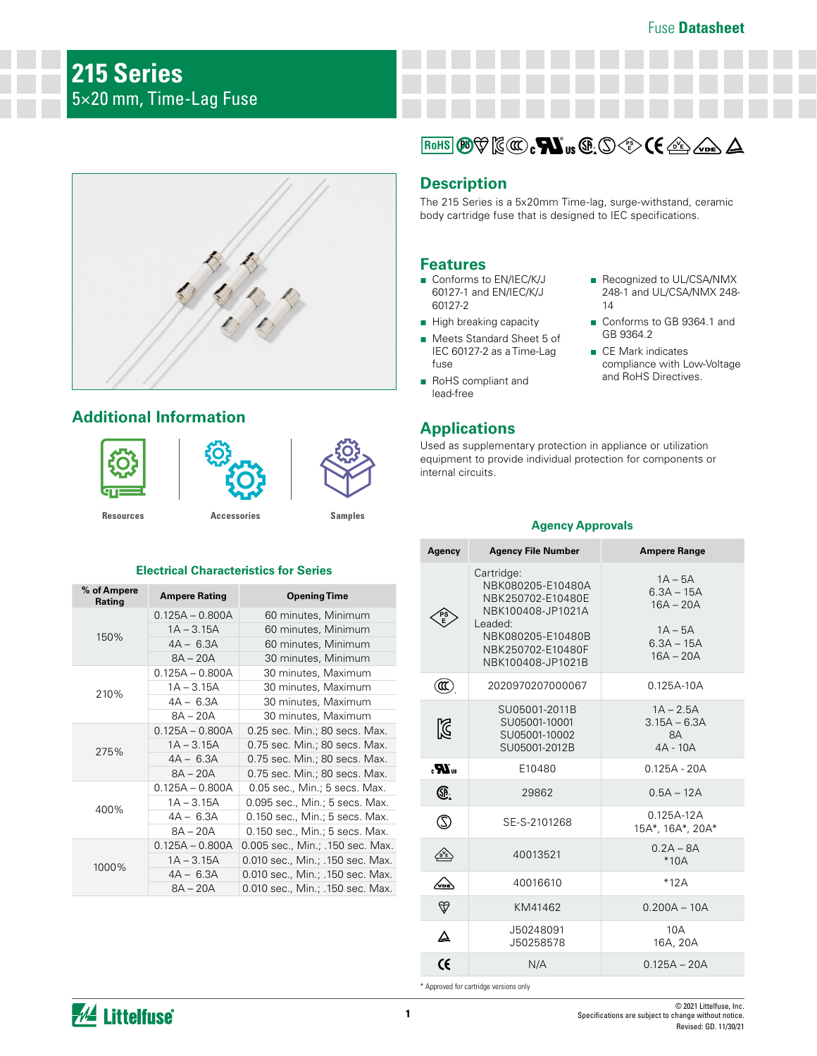# **215 Series** 5×20 mm, Time-Lag Fuse



# **Additional Information**







**[Resources](https://www.littelfuse.com/products/fuses/cartridge-fuses/5x20mm-fuses/215.aspx#TechnicalResources) [Accessories](https://www.littelfuse.com/products/fuses/cartridge-fuses/5x20mm-fuses/215.aspx#EnvironmentalInfo) [Samples](https://www.littelfuse.com/products/fuses/cartridge-fuses/5x20mm-fuses/215.aspx#ElectricalCharacteristics)**

#### **Electrical Characteristics for Series**

| % of Ampere<br>Rating | <b>Ampere Rating</b> | <b>Opening Time</b>              |
|-----------------------|----------------------|----------------------------------|
| 150%                  | $0.125A - 0.800A$    | 60 minutes, Minimum              |
|                       | $1A - 3.15A$         | 60 minutes, Minimum              |
|                       | $4A - 6.3A$          | 60 minutes, Minimum              |
|                       | $8A - 20A$           | 30 minutes, Minimum              |
|                       | $0.125A - 0.800A$    | 30 minutes, Maximum              |
| 210%                  | $1A - 3.15A$         | 30 minutes, Maximum              |
|                       | $4A - 6.3A$          | 30 minutes, Maximum              |
|                       | $8A - 20A$           | 30 minutes, Maximum              |
|                       | $0.125A - 0.800A$    | 0.25 sec. Min.; 80 secs. Max.    |
| 275%                  | $1A - 3.15A$         | 0.75 sec. Min.; 80 secs. Max.    |
|                       | $4A - 6.3A$          | 0.75 sec. Min.; 80 secs. Max.    |
|                       | $8A - 20A$           | 0.75 sec. Min.; 80 secs. Max.    |
|                       | $0.125A - 0.800A$    | 0.05 sec., Min.; 5 secs. Max.    |
| 400%                  | $1A - 3.15A$         | 0.095 sec., Min.; 5 secs. Max.   |
|                       | $4A - 6.3A$          | 0.150 sec., Min.; 5 secs. Max.   |
|                       | $8A - 20A$           | 0.150 sec., Min.; 5 secs. Max.   |
|                       | $0.125A - 0.800A$    | 0.005 sec., Min.; .150 sec. Max. |
| 1000%                 | $1A - 3.15A$         | 0.010 sec., Min.; .150 sec. Max. |
|                       | $4A - 6.3A$          | 0.010 sec., Min.; .150 sec. Max. |
|                       | $8A - 20A$           | 0.010 sec., Min.; .150 sec. Max. |



## **Description**

The 215 Series is a 5x20mm Time-lag, surge-withstand, ceramic body cartridge fuse that is designed to IEC specifications.

### **Features**

- Conforms to EN/IEC/K/J 60127-1 and EN/IEC/K/J 60127-2
- High breaking capacity
- Meets Standard Sheet 5 of IEC 60127-2 as a Time-Lag fuse
- RoHS compliant and lead-free

# **Applications**

■ Recognized to UL/CSA/NMX 248-1 and UL/CSA/NMX 248- 14

- Conforms to GB 9364.1 and GB 9364.2
- CE Mark indicates compliance with Low-Voltage and RoHS Directives.

Used as supplementary protection in appliance or utilization equipment to provide individual protection for components or internal circuits.

#### **Agency Approvals**

| Agency                 | <b>Agency File Number</b>                                                                                                                           | <b>Ampere Range</b>                                                                  |
|------------------------|-----------------------------------------------------------------------------------------------------------------------------------------------------|--------------------------------------------------------------------------------------|
|                        | Cartridge:<br>NBK080205-E10480A<br>NBK250702-E10480E<br>NBK100408-JP1021A<br>Leaded:<br>NBK080205-E10480B<br>NBK250702-E10480F<br>NBK100408-JP1021B | $1A - 5A$<br>$6.3A - 15A$<br>$16A - 20A$<br>$1A - 5A$<br>$6.3A - 15A$<br>$16A - 20A$ |
| O)                     | 2020970207000067                                                                                                                                    | $0.125A - 10A$                                                                       |
| M                      | SU05001-2011B<br>SU05001-10001<br>SU05001-10002<br>SU05001-2012B                                                                                    | $1A - 2.5A$<br>$3.15A - 6.3A$<br>8A<br>$4A - 10A$                                    |
| " <b>R</b> »           | E10480                                                                                                                                              | $0.125A - 20A$                                                                       |
| Œ.                     | 29862                                                                                                                                               | $0.5A - 12A$                                                                         |
| $\mathbb{O}$           | SE-S-2101268                                                                                                                                        | $0.125A - 12A$<br>15A*, 16A*, 20A*                                                   |
|                        | 40013521                                                                                                                                            | $0.2A - 8A$<br>$*10A$                                                                |
| ∕∾                     | 40016610                                                                                                                                            | $*12A$                                                                               |
| $\widehat{\mathbb{V}}$ | KM41462                                                                                                                                             | $0.200A - 10A$                                                                       |
| Δ                      | J50248091<br>J50258578                                                                                                                              | 10A<br>16A, 20A                                                                      |
| $\epsilon$             | N/A                                                                                                                                                 | $0.125A - 20A$                                                                       |

\* Approved for cartridge versions only

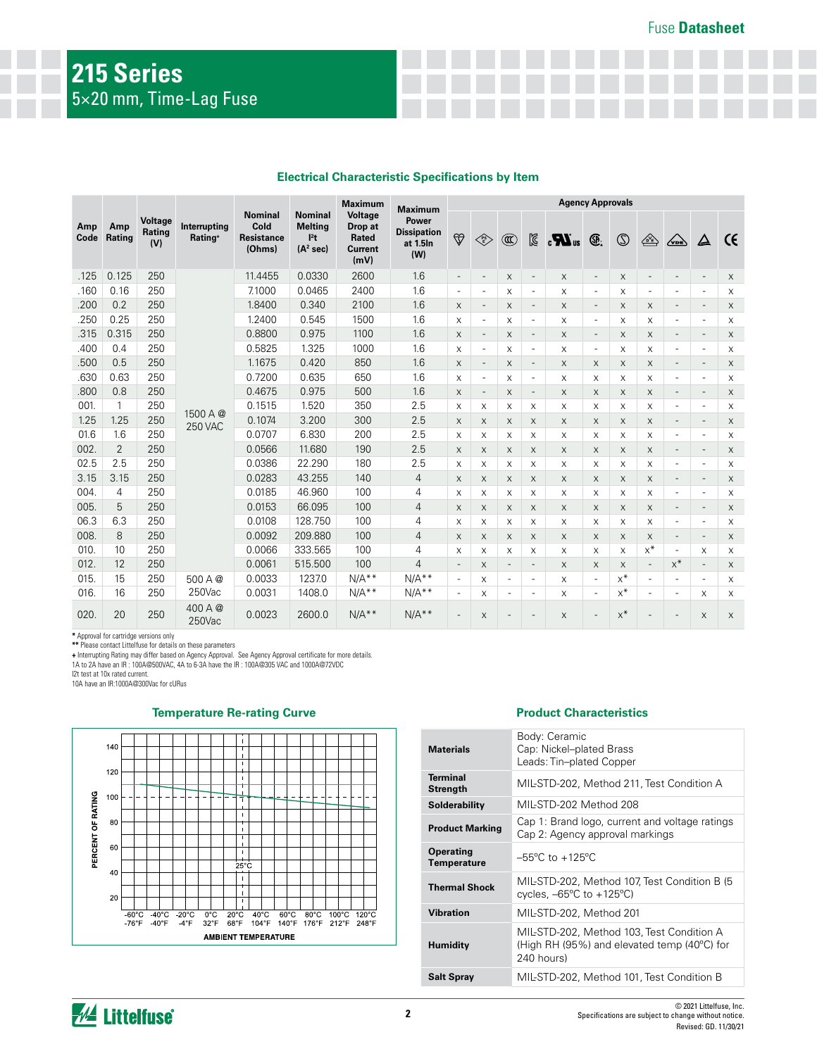|                              |                                 |                                     |                                                       |                                                                    |                                                       | <b>Maximum</b>                                        | <b>Maximum</b> | <b>Agency Approvals</b>                                                     |                          |                          |                                                                                                                                                                                                                                                                                                            |                           |                          |          |                          |                          |                          |          |
|------------------------------|---------------------------------|-------------------------------------|-------------------------------------------------------|--------------------------------------------------------------------|-------------------------------------------------------|-------------------------------------------------------|----------------|-----------------------------------------------------------------------------|--------------------------|--------------------------|------------------------------------------------------------------------------------------------------------------------------------------------------------------------------------------------------------------------------------------------------------------------------------------------------------|---------------------------|--------------------------|----------|--------------------------|--------------------------|--------------------------|----------|
| Amp<br>Amp<br>Rating<br>Code | <b>Voltage</b><br>Rating<br>(V) | Interrupting<br>Rating <sup>+</sup> | <b>Nominal</b><br>Cold<br><b>Resistance</b><br>(Ohms) | <b>Nominal</b><br><b>Melting</b><br>$l^2t$<br>(A <sup>2</sup> sec) | <b>Voltage</b><br>Drop at<br>Rated<br>Current<br>(mV) | <b>Power</b><br><b>Dissipation</b><br>at 1.5In<br>(W) | $\bigcirc$     | $\left\langle\begin{matrix} \text{PS} \ \text{E} \end{matrix}\right\rangle$ | $^{\circledR}$           | ⊠                        | $\mathbf{R}$ or $\mathbf{M}$ of $\mathbf{R}$ of $\mathbf{M}$ of $\mathbf{M}$ of $\mathbf{M}$ or $\mathbf{M}$ or $\mathbf{M}$ or $\mathbf{M}$ or $\mathbf{M}$ or $\mathbf{M}$ or $\mathbf{M}$ or $\mathbf{M}$ or $\mathbf{M}$ or $\mathbf{M}$ or $\mathbf{M}$ or $\mathbf{M}$ or $\mathbf{M}$ or $\mathbf{$ |                           | $\circledS$              | 企        | $\sqrt{\rm$              | $\Delta$                 | $\epsilon$               |          |
| .125                         | 0.125                           | 250                                 |                                                       | 11.4455                                                            | 0.0330                                                | 2600                                                  | 1.6            | $\overline{\phantom{a}}$                                                    | $\overline{\phantom{a}}$ | $\times$                 | $\overline{\phantom{a}}$                                                                                                                                                                                                                                                                                   | $\times$                  | $\overline{\phantom{a}}$ | $\times$ | $\overline{\phantom{a}}$ | $\blacksquare$           | $\overline{\phantom{a}}$ | $\times$ |
| .160                         | 0.16                            | 250                                 |                                                       | 7.1000                                                             | 0.0465                                                | 2400                                                  | 1.6            | $\overline{\phantom{a}}$                                                    | $\overline{a}$           | X                        | $\overline{\phantom{a}}$                                                                                                                                                                                                                                                                                   | X                         | $\overline{\phantom{a}}$ | X        | $\overline{\phantom{a}}$ | $\overline{\phantom{a}}$ | $\overline{\phantom{a}}$ | X        |
| .200                         | 0.2                             | 250                                 |                                                       | 1.8400                                                             | 0.340                                                 | 2100                                                  | 1.6            | X                                                                           | $\overline{\phantom{a}}$ | X                        | $\overline{\phantom{a}}$                                                                                                                                                                                                                                                                                   | X                         | $\overline{\phantom{a}}$ | X        | $\times$                 | $\overline{\phantom{a}}$ | $\overline{\phantom{a}}$ | X        |
| .250                         | 0.25                            | 250                                 |                                                       | 1.2400                                                             | 0.545                                                 | 1500                                                  | 1.6            | X                                                                           | $\overline{a}$           | X                        | $\overline{\phantom{a}}$                                                                                                                                                                                                                                                                                   | X                         | $\overline{\phantom{a}}$ | X        | X                        | $\overline{\phantom{a}}$ | $\overline{\phantom{a}}$ | X        |
| .315                         | 0.315                           | 250                                 |                                                       | 0.8800                                                             | 0.975                                                 | 1100                                                  | 1.6            | X                                                                           | $\overline{\phantom{a}}$ | X                        | $\overline{\phantom{a}}$                                                                                                                                                                                                                                                                                   | $\boldsymbol{\mathsf{X}}$ | $\overline{\phantom{a}}$ | X        | X                        | $\overline{\phantom{a}}$ | $\overline{\phantom{a}}$ | X        |
| .400                         | 0.4                             | 250                                 |                                                       | 0.5825                                                             | 1.325                                                 | 1000                                                  | 1.6            | X                                                                           | $\overline{\phantom{0}}$ | $\times$                 | $\overline{\phantom{a}}$                                                                                                                                                                                                                                                                                   | X                         | $\overline{\phantom{a}}$ | X        | X                        | $\overline{\phantom{a}}$ | $\blacksquare$           | X        |
| .500                         | 0.5                             | 250                                 |                                                       | 1.1675                                                             | 0.420                                                 | 850                                                   | 1.6            | X                                                                           | $\overline{\phantom{a}}$ | $\times$                 | $\overline{\phantom{a}}$                                                                                                                                                                                                                                                                                   | X                         | $\times$                 | X        | X                        | $\overline{\phantom{a}}$ | $\overline{\phantom{a}}$ | $\times$ |
| .630                         | 0.63                            | 250                                 |                                                       | 0.7200                                                             | 0.635                                                 | 650                                                   | 1.6            | X                                                                           | $\overline{a}$           | $\times$                 | $\overline{a}$                                                                                                                                                                                                                                                                                             | X                         | X                        | X        | X                        | $\overline{\phantom{0}}$ | $\overline{\phantom{a}}$ | X        |
| .800                         | 0.8                             | 250                                 |                                                       | 0.4675                                                             | 0.975                                                 | 500                                                   | 1.6            | X                                                                           | $\overline{a}$           | $\times$                 | $\overline{a}$                                                                                                                                                                                                                                                                                             | $\times$                  | X                        | X        | X                        | $\overline{a}$           | ÷,                       | $\times$ |
| 001.                         | 1                               | 250                                 | 1500 A $@$                                            | 0.1515                                                             | 1.520                                                 | 350                                                   | 2.5            | X                                                                           | X                        | $\times$                 | X                                                                                                                                                                                                                                                                                                          | X                         | X                        | X        | X                        | $\overline{\phantom{a}}$ | $\overline{a}$           | X        |
| 1.25                         | 1.25                            | 250                                 | <b>250 VAC</b>                                        | 0.1074                                                             | 3.200                                                 | 300                                                   | 2.5            | X                                                                           | X                        | X                        | X                                                                                                                                                                                                                                                                                                          | X                         | $\times$                 | X        | X                        | $\overline{a}$           | $\overline{\phantom{a}}$ | X        |
| 01.6                         | 1.6                             | 250                                 |                                                       | 0.0707                                                             | 6.830                                                 | 200                                                   | 2.5            | X                                                                           | X                        | $\times$                 | X                                                                                                                                                                                                                                                                                                          | X                         | X                        | X        | X                        | $\overline{a}$           | $\overline{a}$           | X        |
| 002.                         | $\overline{2}$                  | 250                                 |                                                       | 0.0566                                                             | 11.680                                                | 190                                                   | 2.5            | X                                                                           | X                        | $\times$                 | $\times$                                                                                                                                                                                                                                                                                                   | $\times$                  | $\times$                 | X        | X                        | $\overline{\phantom{a}}$ | $\overline{\phantom{a}}$ | $\times$ |
| 02.5                         | 2.5                             | 250                                 |                                                       | 0.0386                                                             | 22.290                                                | 180                                                   | 2.5            | X                                                                           | X                        | X                        | X                                                                                                                                                                                                                                                                                                          | X                         | X                        | X        | X                        | $\overline{\phantom{a}}$ | $\overline{\phantom{a}}$ | X        |
| 3.15                         | 3.15                            | 250                                 |                                                       | 0.0283                                                             | 43.255                                                | 140                                                   | 4              | X                                                                           | X                        | $\times$                 | X                                                                                                                                                                                                                                                                                                          | X                         | X                        | X        | X                        | $\overline{\phantom{a}}$ | $\overline{\phantom{a}}$ | X        |
| 004.                         | 4                               | 250                                 |                                                       | 0.0185                                                             | 46.960                                                | 100                                                   | 4              | X                                                                           | X                        | $\times$                 | X                                                                                                                                                                                                                                                                                                          | X                         | X                        | X        | X                        | $\overline{\phantom{a}}$ | $\overline{\phantom{a}}$ | X        |
| 005.                         | 5                               | 250                                 |                                                       | 0.0153                                                             | 66.095                                                | 100                                                   | 4              | X                                                                           | X                        | $\times$                 | X                                                                                                                                                                                                                                                                                                          | X                         | X                        | X        | X                        | $\overline{\phantom{a}}$ | $\overline{\phantom{a}}$ | X        |
| 06.3                         | 6.3                             | 250                                 |                                                       | 0.0108                                                             | 128.750                                               | 100                                                   | 4              | X                                                                           | X                        | X                        | X                                                                                                                                                                                                                                                                                                          | X                         | X                        | X        | X                        | $\overline{\phantom{a}}$ | $\overline{a}$           | X        |
| 008.                         | 8                               | 250                                 |                                                       | 0.0092                                                             | 209.880                                               | 100                                                   | 4              | X                                                                           | X                        | X                        | X                                                                                                                                                                                                                                                                                                          | X                         | X                        | X        | X                        | $\overline{\phantom{a}}$ | $\overline{\phantom{a}}$ | X        |
| 010.                         | 10                              | 250                                 |                                                       | 0.0066                                                             | 333.565                                               | 100                                                   | 4              | X                                                                           | X                        | $\times$                 | X                                                                                                                                                                                                                                                                                                          | X                         | X                        | X        | $x^*$                    | $\overline{a}$           | X                        | X        |
| 012.                         | 12                              | 250                                 |                                                       | 0.0061                                                             | 515.500                                               | 100                                                   | $\overline{4}$ | $\overline{\phantom{a}}$                                                    | $\times$                 | $\overline{\phantom{a}}$ | $\overline{\phantom{a}}$                                                                                                                                                                                                                                                                                   | X                         | $\times$                 | X        | $\overline{\phantom{a}}$ | $x^*$                    | $\overline{\phantom{a}}$ | X        |
| 015.                         | 15                              | 250                                 | 500A@                                                 | 0.0033                                                             | 1237.0                                                | $N/A**$                                               | $N/A**$        | $\overline{\phantom{a}}$                                                    | X                        | $\overline{\phantom{a}}$ | $\overline{\phantom{a}}$                                                                                                                                                                                                                                                                                   | X                         | $\overline{\phantom{a}}$ | $x^*$    | $\overline{\phantom{a}}$ | $\overline{\phantom{a}}$ | $\overline{\phantom{a}}$ | X        |
| 016.                         | 16                              | 250                                 | 250Vac                                                | 0.0031                                                             | 1408.0                                                | $N/A**$                                               | $N/A**$        | $\overline{\phantom{a}}$                                                    | X                        | $\overline{\phantom{a}}$ | $\overline{\phantom{a}}$                                                                                                                                                                                                                                                                                   | $\times$                  | $\overline{\phantom{a}}$ | $x^*$    | $\overline{\phantom{a}}$ | $\overline{a}$           | X                        | X        |
| 020.                         | 20                              | 250                                 | 400 A @<br>250Vac                                     | 0.0023                                                             | 2600.0                                                | $N/A**$                                               | $N/A**$        | $\overline{a}$                                                              | X                        | $\overline{\phantom{0}}$ |                                                                                                                                                                                                                                                                                                            | $\times$                  | $\overline{\phantom{a}}$ | $x^*$    |                          |                          | X                        | $\times$ |

\* Approval for cartridge versions only<br>\*\* Please contact Littelfuse for details on these parameters<br>+ Interrupting Rating may differ based on Agency Approval. See Agency Approval certificate for more details.<br>1A to 2A have

I2t test at 10x rated current. 10A have an IR:1000A@300Vac for cURus



#### **Temperature Re-rating Curve Product Characteristics**

| <b>Materials</b>                       | Body: Ceramic<br>Cap: Nickel-plated Brass<br>Leads: Tin-plated Copper                                             |
|----------------------------------------|-------------------------------------------------------------------------------------------------------------------|
| <b>Terminal</b><br><b>Strength</b>     | MIL-STD-202, Method 211, Test Condition A                                                                         |
| Solderability                          | MIL-STD-202 Method 208                                                                                            |
| <b>Product Marking</b>                 | Cap 1: Brand logo, current and voltage ratings<br>Cap 2: Agency approval markings                                 |
| <b>Operating</b><br><b>Temperature</b> | $-55^{\circ}$ C to $+125^{\circ}$ C                                                                               |
| <b>Thermal Shock</b>                   | MIL-STD-202, Method 107, Test Condition B (5<br>cycles, $-65^{\circ}$ C to $+125^{\circ}$ C)                      |
| <b>Vibration</b>                       | MIL-STD-202, Method 201                                                                                           |
| <b>Humidity</b>                        | MIL-STD-202, Method 103, Test Condition A<br>(High RH (95%) and elevated temp (40 $^{\circ}$ C) for<br>240 hours) |
| <b>Salt Spray</b>                      | MIL-STD-202, Method 101, Test Condition B                                                                         |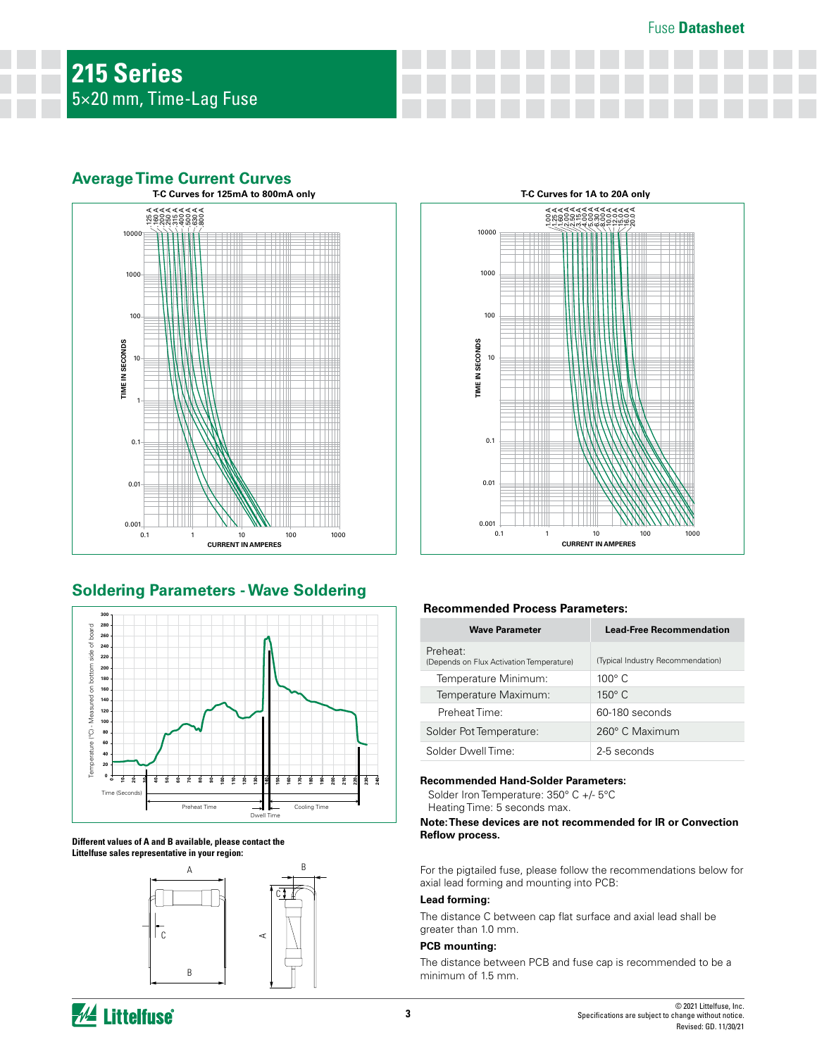## **Average Time Current Curves**



# **Soldering Parameters - Wave Soldering**



**Different values of A and B available, please contact the Littelfuse sales representative in your region:** 





#### **Recommended Process Parameters:**

| <b>Wave Parameter</b>                                | <b>Lead-Free Recommendation</b>   |  |  |  |  |
|------------------------------------------------------|-----------------------------------|--|--|--|--|
| Preheat:<br>(Depends on Flux Activation Temperature) | (Typical Industry Recommendation) |  |  |  |  |
| Temperature Minimum:                                 | $100^{\circ}$ C                   |  |  |  |  |
| Temperature Maximum:                                 | $150^\circ$ C                     |  |  |  |  |
| Preheat Time:                                        | 60-180 seconds                    |  |  |  |  |
| Solder Pot Temperature:                              | 260° C Maximum                    |  |  |  |  |
| Solder Dwell Time:                                   | 2-5 seconds                       |  |  |  |  |

#### **Recommended Hand-Solder Parameters:**

Solder Iron Temperature: 350° C +/- 5°C

Heating Time: 5 seconds max.

#### **Note: These devices are not recommended for IR or Convection Reflow process.**

For the pigtailed fuse, please follow the recommendations below for axial lead forming and mounting into PCB:

#### **Lead forming:**

The distance C between cap flat surface and axial lead shall be greater than 1.0 mm.

#### **PCB mounting:**

The distance between PCB and fuse cap is recommended to be a minimum of 1.5 mm.